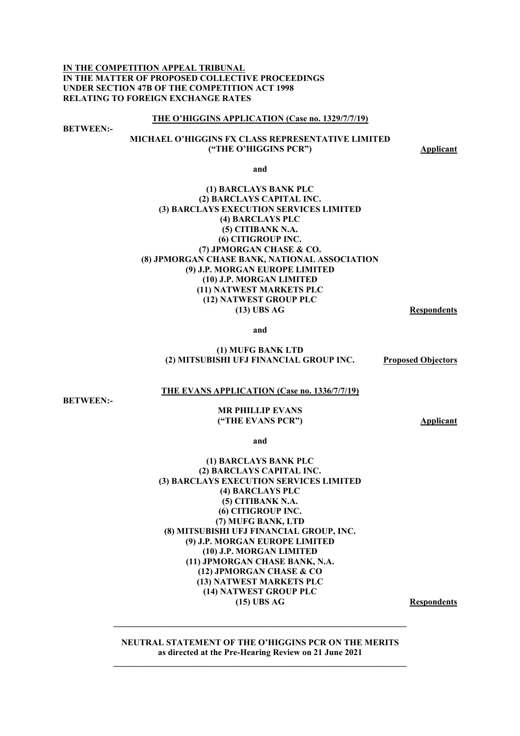**IN THE COMPETITION APPEAL TRIBUNAL IN THE MATTER OF PROPOSED COLLECTIVE PROCEEDINGS UNDER SECTION 47B OF THE COMPETITION ACT 1998 RELATING TO FOREIGN EXCHANGE RATES** 

#### **THE O'HIGGINS APPLICATION (Case no. 1329/7/7/19)**

**BETWEEN:-** 

#### **MICHAEL O'HIGGINS FX CLASS REPRESENTATIVE LIMITED ("THE O'HIGGINS PCR") Applicant**

**and** 

#### **(1) BARCLAYS BANK PLC (2) BARCLAYS CAPITAL INC. (3) BARCLAYS EXECUTION SERVICES LIMITED (4) BARCLAYS PLC (5) CITIBANK N.A. (6) CITIGROUP INC. (7) JPMORGAN CHASE & CO. (8) JPMORGAN CHASE BANK, NATIONAL ASSOCIATION (9) J.P. MORGAN EUROPE LIMITED (10) J.P. MORGAN LIMITED (11) NATWEST MARKETS PLC (12) NATWEST GROUP PLC (13) UBS AG Respondents**

**and** 

#### **(1) MUFG BANK LTD (2) MITSUBISHI UFJ FINANCIAL GROUP INC. Proposed Objectors**

#### **THE EVANS APPLICATION (Case no. 1336/7/7/19)**

**BETWEEN:-** 

#### **MR PHILLIP EVANS ("THE EVANS PCR") Applicant**

**and** 

#### **(1) BARCLAYS BANK PLC (2) BARCLAYS CAPITAL INC. (3) BARCLAYS EXECUTION SERVICES LIMITED (4) BARCLAYS PLC (5) CITIBANK N.A. (6) CITIGROUP INC. (7) MUFG BANK, LTD (8) MITSUBISHI UFJ FINANCIAL GROUP, INC. (9) J.P. MORGAN EUROPE LIMITED (10) J.P. MORGAN LIMITED (11) JPMORGAN CHASE BANK, N.A. (12) JPMORGAN CHASE & CO (13) NATWEST MARKETS PLC (14) NATWEST GROUP PLC (15) UBS AG Respondents**

**NEUTRAL STATEMENT OF THE O'HIGGINS PCR ON THE MERITS as directed at the Pre-Hearing Review on 21 June 2021 \_\_\_\_\_\_\_\_\_\_\_\_\_\_\_\_\_\_\_\_\_\_\_\_\_\_\_\_\_\_\_\_\_\_\_\_\_\_\_\_\_\_\_\_\_\_\_\_\_\_\_\_\_\_\_\_\_\_\_\_\_\_\_\_\_\_\_**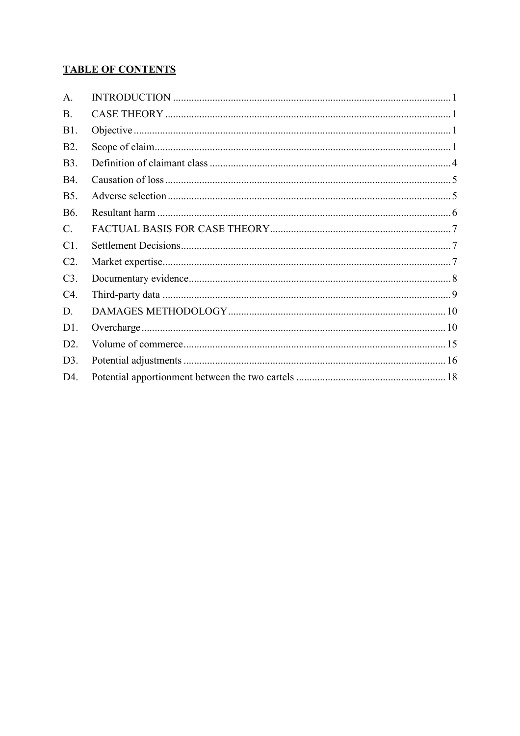# **TABLE OF CONTENTS**

| A.               |  |
|------------------|--|
| <b>B.</b>        |  |
| <b>B1.</b>       |  |
| B <sub>2</sub> . |  |
| <b>B</b> 3.      |  |
| <b>B4.</b>       |  |
| <b>B5.</b>       |  |
| <b>B6.</b>       |  |
| $C_{\cdot}$      |  |
| C1.              |  |
| C2.              |  |
| C3.              |  |
| C4.              |  |
| D.               |  |
| D1.              |  |
| D2.              |  |
| D3.              |  |
| D4.              |  |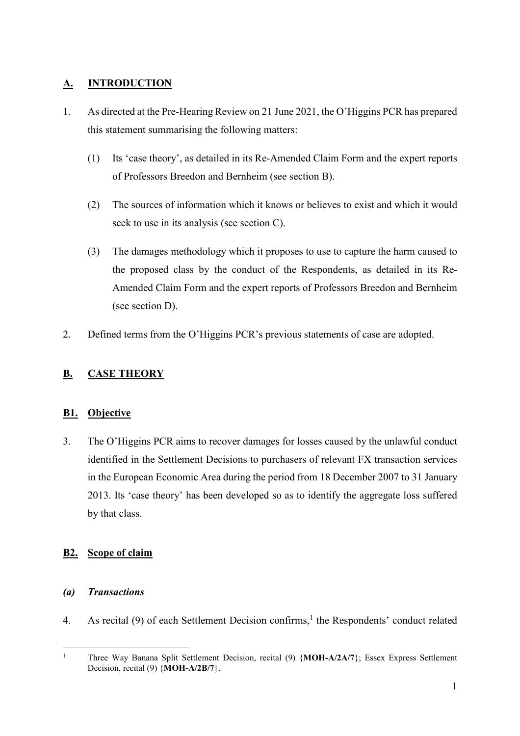# **A. INTRODUCTION**

- 1. As directed at the Pre-Hearing Review on 21 June 2021, the O'Higgins PCR has prepared this statement summarising the following matters:
	- (1) Its 'case theory', as detailed in its Re-Amended Claim Form and the expert reports of Professors Breedon and Bernheim (see section B).
	- (2) The sources of information which it knows or believes to exist and which it would seek to use in its analysis (see section C).
	- (3) The damages methodology which it proposes to use to capture the harm caused to the proposed class by the conduct of the Respondents, as detailed in its Re-Amended Claim Form and the expert reports of Professors Breedon and Bernheim (see section D).
- 2. Defined terms from the O'Higgins PCR's previous statements of case are adopted.

# **B. CASE THEORY**

# **B1. Objective**

3. The O'Higgins PCR aims to recover damages for losses caused by the unlawful conduct identified in the Settlement Decisions to purchasers of relevant FX transaction services in the European Economic Area during the period from 18 December 2007 to 31 January 2013. Its 'case theory' has been developed so as to identify the aggregate loss suffered by that class.

# **B2. Scope of claim**

## *(a) Transactions*

4. As recital (9) of each Settlement Decision confirms,<sup>1</sup> the Respondents' conduct related

 $\frac{1}{1}$  Three Way Banana Split Settlement Decision, recital (9) {**MOH-A/2A/7**}; Essex Express Settlement Decision, recital (9) {**MOH-A/2B/7**}.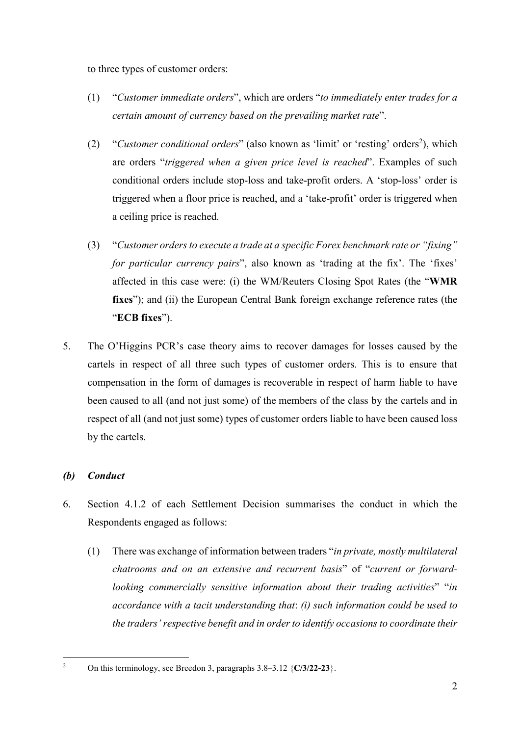to three types of customer orders:

- (1) "*Customer immediate orders*", which are orders "*to immediately enter trades for a certain amount of currency based on the prevailing market rate*".
- (2) "Customer conditional orders" (also known as 'limit' or 'resting' orders<sup>2</sup>), which are orders "*triggered when a given price level is reached*". Examples of such conditional orders include stop-loss and take-profit orders. A 'stop-loss' order is triggered when a floor price is reached, and a 'take-profit' order is triggered when a ceiling price is reached.
- (3) "*Customer orders to execute a trade at a specific Forex benchmark rate or "fixing" for particular currency pairs*", also known as 'trading at the fix'. The 'fixes' affected in this case were: (i) the WM/Reuters Closing Spot Rates (the "**WMR fixes**"); and (ii) the European Central Bank foreign exchange reference rates (the "**ECB fixes**").
- 5. The O'Higgins PCR's case theory aims to recover damages for losses caused by the cartels in respect of all three such types of customer orders. This is to ensure that compensation in the form of damages is recoverable in respect of harm liable to have been caused to all (and not just some) of the members of the class by the cartels and in respect of all (and not just some) types of customer orders liable to have been caused loss by the cartels.

# *(b) Conduct*

- 6. Section 4.1.2 of each Settlement Decision summarises the conduct in which the Respondents engaged as follows:
	- (1) There was exchange of information between traders "*in private, mostly multilateral chatrooms and on an extensive and recurrent basis*" of "*current or forwardlooking commercially sensitive information about their trading activities*" "*in accordance with a tacit understanding that*: *(i) such information could be used to the traders' respective benefit and in order to identify occasions to coordinate their*

 $\frac{1}{2}$ On this terminology, see Breedon 3, paragraphs 3.8–3.12 {**C/3/22-23**}.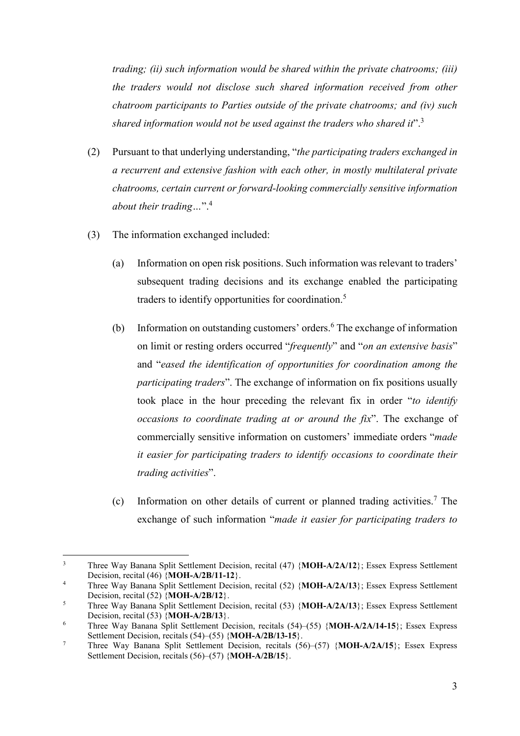*trading; (ii) such information would be shared within the private chatrooms; (iii) the traders would not disclose such shared information received from other chatroom participants to Parties outside of the private chatrooms; and (iv) such shared information would not be used against the traders who shared it*".<sup>3</sup>

- (2) Pursuant to that underlying understanding, "*the participating traders exchanged in a recurrent and extensive fashion with each other, in mostly multilateral private chatrooms, certain current or forward-looking commercially sensitive information about their trading…*".4
- (3) The information exchanged included:
	- (a) Information on open risk positions. Such information was relevant to traders' subsequent trading decisions and its exchange enabled the participating traders to identify opportunities for coordination.<sup>5</sup>
	- (b) Information on outstanding customers' orders.<sup>6</sup> The exchange of information on limit or resting orders occurred "*frequently*" and "*on an extensive basis*" and "*eased the identification of opportunities for coordination among the participating traders*". The exchange of information on fix positions usually took place in the hour preceding the relevant fix in order "*to identify occasions to coordinate trading at or around the fix*". The exchange of commercially sensitive information on customers' immediate orders "*made it easier for participating traders to identify occasions to coordinate their trading activities*".
	- (c) Information on other details of current or planned trading activities.<sup>7</sup> The exchange of such information "*made it easier for participating traders to*

<sup>&</sup>lt;sup>2</sup><br>3 Three Way Banana Split Settlement Decision, recital (47) {**MOH-A/2A/12**}; Essex Express Settlement Decision, recital (46)  ${MOH-A/2B/11-12}$ .

Three Way Banana Split Settlement Decision, recital (52) {**MOH-A/2A/13**}; Essex Express Settlement Decision, recital (52) {**MOH-A/2B/12**}. 5

Three Way Banana Split Settlement Decision, recital (53) {**MOH-A/2A/13**}; Essex Express Settlement Decision, recital (53) {**MOH-A/2B/13**}.

<sup>6</sup> Three Way Banana Split Settlement Decision, recitals (54)–(55) {**MOH-A/2A/14-15**}; Essex Express Settlement Decision, recitals (54)–(55) {**MOH-A/2B/13-15**}.<br>7. Three Way Bangne Split, Settlement Decision, resitely (5.

Three Way Banana Split Settlement Decision, recitals (56)–(57) {**MOH-A/2A/15**}; Essex Express Settlement Decision, recitals (56)–(57) {**MOH-A/2B/15**}.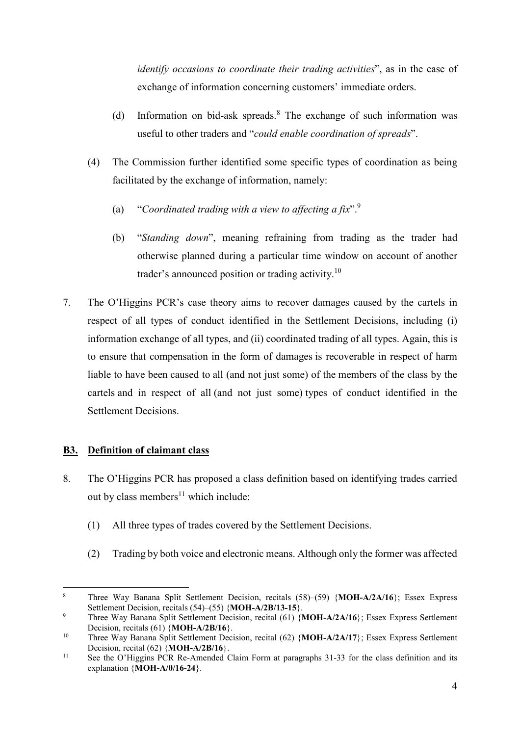*identify occasions to coordinate their trading activities*", as in the case of exchange of information concerning customers' immediate orders.

- (d) Information on bid-ask spreads.<sup>8</sup> The exchange of such information was useful to other traders and "*could enable coordination of spreads*".
- (4) The Commission further identified some specific types of coordination as being facilitated by the exchange of information, namely:
	- (a) "*Coordinated trading with a view to affecting a fix*".9
	- (b) "*Standing down*", meaning refraining from trading as the trader had otherwise planned during a particular time window on account of another trader's announced position or trading activity.<sup>10</sup>
- 7. The O'Higgins PCR's case theory aims to recover damages caused by the cartels in respect of all types of conduct identified in the Settlement Decisions, including (i) information exchange of all types, and (ii) coordinated trading of all types. Again, this is to ensure that compensation in the form of damages is recoverable in respect of harm liable to have been caused to all (and not just some) of the members of the class by the cartels and in respect of all (and not just some) types of conduct identified in the Settlement Decisions.

## **B3. Definition of claimant class**

- 8. The O'Higgins PCR has proposed a class definition based on identifying trades carried out by class members<sup>11</sup> which include:
	- (1) All three types of trades covered by the Settlement Decisions.
	- (2) Trading by both voice and electronic means. Although only the former was affected

 $\overline{a}$ 8 Three Way Banana Split Settlement Decision, recitals (58)–(59) {**MOH-A/2A/16**}; Essex Express Settlement Decision, recitals (54)–(55) {**MOH-A/2B/13-15**}.

<sup>9</sup> Three Way Banana Split Settlement Decision, recital (61) {**MOH-A/2A/16**}; Essex Express Settlement Decision, recitals (61) {**MOH-A/2B/16**}.

<sup>&</sup>lt;sup>10</sup> Three Way Banana Split Settlement Decision, recital (62) {MOH-A/2A/17}; Essex Express Settlement Decision, recital (62) {**MOH-A/2B/16**}. <sup>11</sup> See the O'Higgins PCR Re-Amended Claim Form at paragraphs 31-33 for the class definition and its

explanation {**MOH-A/0/16-24**}.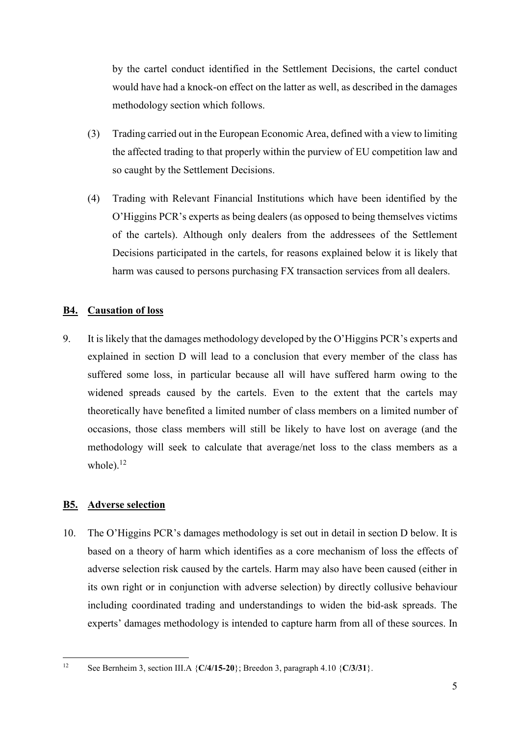by the cartel conduct identified in the Settlement Decisions, the cartel conduct would have had a knock-on effect on the latter as well, as described in the damages methodology section which follows.

- (3) Trading carried out in the European Economic Area, defined with a view to limiting the affected trading to that properly within the purview of EU competition law and so caught by the Settlement Decisions.
- (4) Trading with Relevant Financial Institutions which have been identified by the O'Higgins PCR's experts as being dealers (as opposed to being themselves victims of the cartels). Although only dealers from the addressees of the Settlement Decisions participated in the cartels, for reasons explained below it is likely that harm was caused to persons purchasing FX transaction services from all dealers.

## **B4. Causation of loss**

9. It is likely that the damages methodology developed by the O'Higgins PCR's experts and explained in section D will lead to a conclusion that every member of the class has suffered some loss, in particular because all will have suffered harm owing to the widened spreads caused by the cartels. Even to the extent that the cartels may theoretically have benefited a limited number of class members on a limited number of occasions, those class members will still be likely to have lost on average (and the methodology will seek to calculate that average/net loss to the class members as a whole). $12$ 

## **B5. Adverse selection**

10. The O'Higgins PCR's damages methodology is set out in detail in section D below. It is based on a theory of harm which identifies as a core mechanism of loss the effects of adverse selection risk caused by the cartels. Harm may also have been caused (either in its own right or in conjunction with adverse selection) by directly collusive behaviour including coordinated trading and understandings to widen the bid-ask spreads. The experts' damages methodology is intended to capture harm from all of these sources. In

 $12$ See Bernheim 3, section III.A  $\{C/4/15-20\}$ ; Breedon 3, paragraph 4.10  $\{C/3/31\}$ .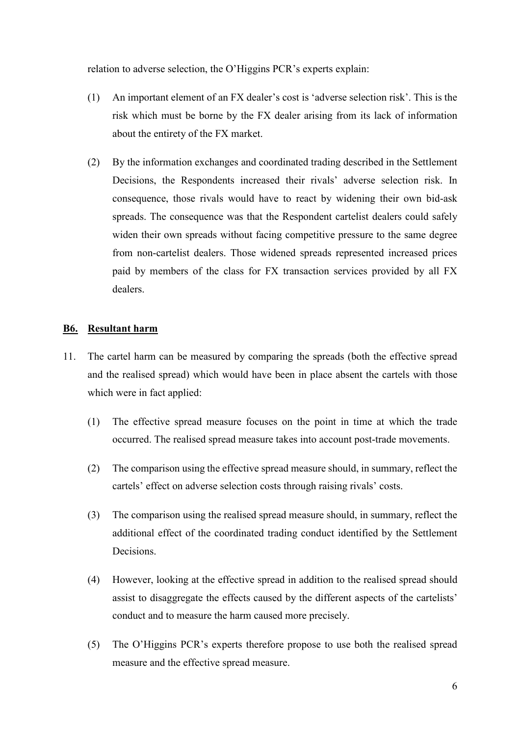relation to adverse selection, the O'Higgins PCR's experts explain:

- (1) An important element of an FX dealer's cost is 'adverse selection risk'. This is the risk which must be borne by the FX dealer arising from its lack of information about the entirety of the FX market.
- (2) By the information exchanges and coordinated trading described in the Settlement Decisions, the Respondents increased their rivals' adverse selection risk. In consequence, those rivals would have to react by widening their own bid-ask spreads. The consequence was that the Respondent cartelist dealers could safely widen their own spreads without facing competitive pressure to the same degree from non-cartelist dealers. Those widened spreads represented increased prices paid by members of the class for FX transaction services provided by all FX dealers.

#### **B6. Resultant harm**

- 11. The cartel harm can be measured by comparing the spreads (both the effective spread and the realised spread) which would have been in place absent the cartels with those which were in fact applied:
	- (1) The effective spread measure focuses on the point in time at which the trade occurred. The realised spread measure takes into account post-trade movements.
	- (2) The comparison using the effective spread measure should, in summary, reflect the cartels' effect on adverse selection costs through raising rivals' costs.
	- (3) The comparison using the realised spread measure should, in summary, reflect the additional effect of the coordinated trading conduct identified by the Settlement Decisions.
	- (4) However, looking at the effective spread in addition to the realised spread should assist to disaggregate the effects caused by the different aspects of the cartelists' conduct and to measure the harm caused more precisely.
	- (5) The O'Higgins PCR's experts therefore propose to use both the realised spread measure and the effective spread measure.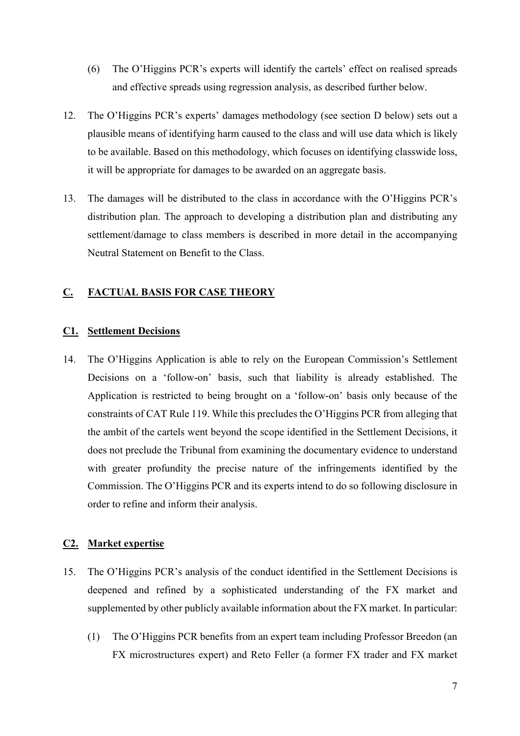- (6) The O'Higgins PCR's experts will identify the cartels' effect on realised spreads and effective spreads using regression analysis, as described further below.
- 12. The O'Higgins PCR's experts' damages methodology (see section D below) sets out a plausible means of identifying harm caused to the class and will use data which is likely to be available. Based on this methodology, which focuses on identifying classwide loss, it will be appropriate for damages to be awarded on an aggregate basis.
- 13. The damages will be distributed to the class in accordance with the O'Higgins PCR's distribution plan. The approach to developing a distribution plan and distributing any settlement/damage to class members is described in more detail in the accompanying Neutral Statement on Benefit to the Class.

## **C. FACTUAL BASIS FOR CASE THEORY**

### **C1. Settlement Decisions**

14. The O'Higgins Application is able to rely on the European Commission's Settlement Decisions on a 'follow-on' basis, such that liability is already established. The Application is restricted to being brought on a 'follow-on' basis only because of the constraints of CAT Rule 119. While this precludes the O'Higgins PCR from alleging that the ambit of the cartels went beyond the scope identified in the Settlement Decisions, it does not preclude the Tribunal from examining the documentary evidence to understand with greater profundity the precise nature of the infringements identified by the Commission. The O'Higgins PCR and its experts intend to do so following disclosure in order to refine and inform their analysis.

### **C2. Market expertise**

- 15. The O'Higgins PCR's analysis of the conduct identified in the Settlement Decisions is deepened and refined by a sophisticated understanding of the FX market and supplemented by other publicly available information about the FX market. In particular:
	- (1) The O'Higgins PCR benefits from an expert team including Professor Breedon (an FX microstructures expert) and Reto Feller (a former FX trader and FX market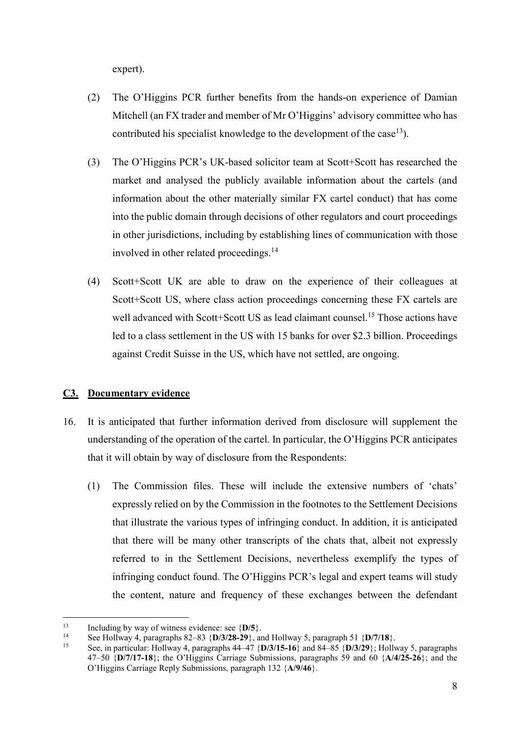expert).

- (2) The O'Higgins PCR further benefits from the hands-on experience of Damian Mitchell (an FX trader and member of Mr O'Higgins' advisory committee who has contributed his specialist knowledge to the development of the case<sup>13</sup>).
- (3) The O'Higgins PCR's UK-based solicitor team at Scott+Scott has researched the market and analysed the publicly available information about the cartels (and information about the other materially similar FX cartel conduct) that has come into the public domain through decisions of other regulators and court proceedings in other jurisdictions, including by establishing lines of communication with those involved in other related proceedings.<sup>14</sup>
- (4) Scott+Scott UK are able to draw on the experience of their colleagues at Scott+Scott US, where class action proceedings concerning these FX cartels are well advanced with Scott+Scott US as lead claimant counsel.<sup>15</sup> Those actions have led to a class settlement in the US with 15 banks for over \$2.3 billion. Proceedings against Credit Suisse in the US, which have not settled, are ongoing.

## **C3. Documentary evidence**

- 16. It is anticipated that further information derived from disclosure will supplement the understanding of the operation of the cartel. In particular, the O'Higgins PCR anticipates that it will obtain by way of disclosure from the Respondents:
	- (1) The Commission files. These will include the extensive numbers of 'chats' expressly relied on by the Commission in the footnotes to the Settlement Decisions that illustrate the various types of infringing conduct. In addition, it is anticipated that there will be many other transcripts of the chats that, albeit not expressly referred to in the Settlement Decisions, nevertheless exemplify the types of infringing conduct found. The O'Higgins PCR's legal and expert teams will study the content, nature and frequency of these exchanges between the defendant

<sup>13</sup> Including by way of witness evidence: see  $\{D/5\}$ .<br>
14 See Hollway 4, paragraphs 82–83  $\{D/3/28-29\}$ , and Hollway 5, paragraph 51  $\{D/7/18\}$ .<br>
15 See in norticular Usllman 4, paragraphs 44, 47  $\{D/2/15, 16\}$  an

<sup>15</sup> See, in particular: Hollway 4, paragraphs 44–47 {**D/3/15-16**} and 84–85 {**D/3/29**}; Hollway 5, paragraphs 47–50 {**D/7/17-18**}; the O'Higgins Carriage Submissions, paragraphs 59 and 60 {**A/4/25-26**}; and the O'Higgins Carriage Reply Submissions, paragraph 132 {**A/9/46**}.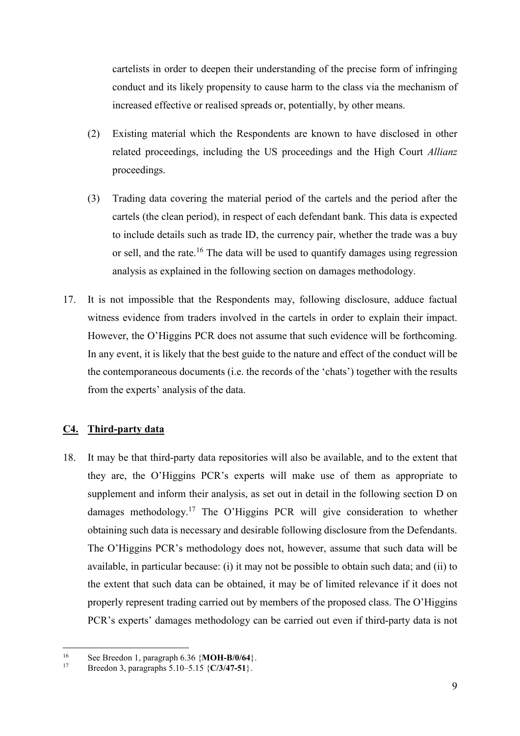cartelists in order to deepen their understanding of the precise form of infringing conduct and its likely propensity to cause harm to the class via the mechanism of increased effective or realised spreads or, potentially, by other means.

- (2) Existing material which the Respondents are known to have disclosed in other related proceedings, including the US proceedings and the High Court *Allianz*  proceedings.
- (3) Trading data covering the material period of the cartels and the period after the cartels (the clean period), in respect of each defendant bank. This data is expected to include details such as trade ID, the currency pair, whether the trade was a buy or sell, and the rate.<sup>16</sup> The data will be used to quantify damages using regression analysis as explained in the following section on damages methodology.
- 17. It is not impossible that the Respondents may, following disclosure, adduce factual witness evidence from traders involved in the cartels in order to explain their impact. However, the O'Higgins PCR does not assume that such evidence will be forthcoming. In any event, it is likely that the best guide to the nature and effect of the conduct will be the contemporaneous documents (i.e. the records of the 'chats') together with the results from the experts' analysis of the data.

### **C4. Third-party data**

18. It may be that third-party data repositories will also be available, and to the extent that they are, the O'Higgins PCR's experts will make use of them as appropriate to supplement and inform their analysis, as set out in detail in the following section D on damages methodology.<sup>17</sup> The O'Higgins PCR will give consideration to whether obtaining such data is necessary and desirable following disclosure from the Defendants. The O'Higgins PCR's methodology does not, however, assume that such data will be available, in particular because: (i) it may not be possible to obtain such data; and (ii) to the extent that such data can be obtained, it may be of limited relevance if it does not properly represent trading carried out by members of the proposed class. The O'Higgins PCR's experts' damages methodology can be carried out even if third-party data is not

 $16^{1}$ <sup>16</sup> See Breedon 1, paragraph 6.36 {**MOH-B/0/64**}.<br><sup>17</sup> Proodon 2, paragraphs 5.10, 5.15 (*G*(2/47, 51).

<sup>17</sup> Breedon 3, paragraphs 5.10–5.15 {**C/3/47-51**}.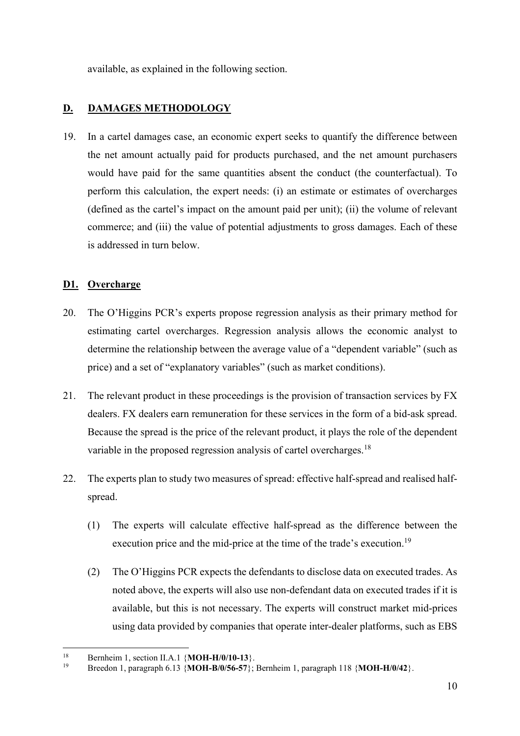available, as explained in the following section.

# **D. DAMAGES METHODOLOGY**

19. In a cartel damages case, an economic expert seeks to quantify the difference between the net amount actually paid for products purchased, and the net amount purchasers would have paid for the same quantities absent the conduct (the counterfactual). To perform this calculation, the expert needs: (i) an estimate or estimates of overcharges (defined as the cartel's impact on the amount paid per unit); (ii) the volume of relevant commerce; and (iii) the value of potential adjustments to gross damages. Each of these is addressed in turn below.

## **D1. Overcharge**

- 20. The O'Higgins PCR's experts propose regression analysis as their primary method for estimating cartel overcharges. Regression analysis allows the economic analyst to determine the relationship between the average value of a "dependent variable" (such as price) and a set of "explanatory variables" (such as market conditions).
- 21. The relevant product in these proceedings is the provision of transaction services by FX dealers. FX dealers earn remuneration for these services in the form of a bid-ask spread. Because the spread is the price of the relevant product, it plays the role of the dependent variable in the proposed regression analysis of cartel overcharges.<sup>18</sup>
- 22. The experts plan to study two measures of spread: effective half-spread and realised halfspread.
	- (1) The experts will calculate effective half-spread as the difference between the execution price and the mid-price at the time of the trade's execution.<sup>19</sup>
	- (2) The O'Higgins PCR expects the defendants to disclose data on executed trades. As noted above, the experts will also use non-defendant data on executed trades if it is available, but this is not necessary. The experts will construct market mid-prices using data provided by companies that operate inter-dealer platforms, such as EBS

 $18$ <sup>18</sup> Bernheim 1, section II.A.1  $\{MOH-H/0/10-13\}$ .<br><sup>19</sup> Broaden 1, norograph 6.12 (MOH, B/0/56, 57).

<sup>19</sup> Breedon 1, paragraph 6.13 {**MOH-B/0/56-57**}; Bernheim 1, paragraph 118 {**MOH-H/0/42**}.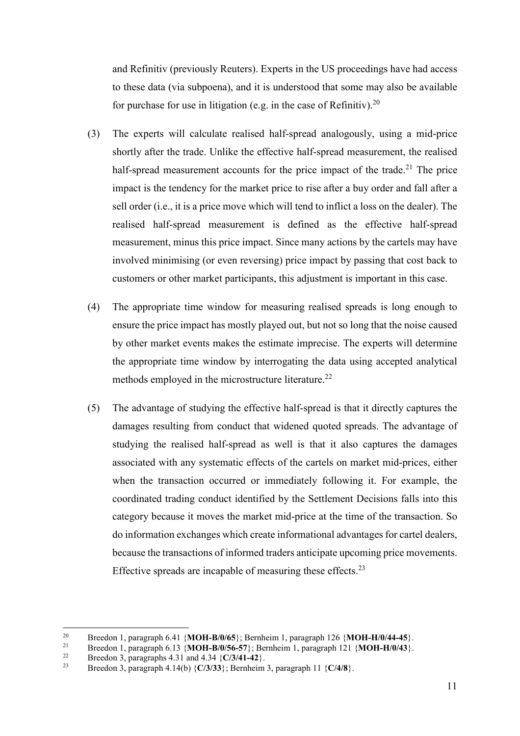and Refinitiv (previously Reuters). Experts in the US proceedings have had access to these data (via subpoena), and it is understood that some may also be available for purchase for use in litigation (e.g. in the case of Refinitiv).<sup>20</sup>

- (3) The experts will calculate realised half-spread analogously, using a mid-price shortly after the trade. Unlike the effective half-spread measurement, the realised half-spread measurement accounts for the price impact of the trade.<sup>21</sup> The price impact is the tendency for the market price to rise after a buy order and fall after a sell order (i.e., it is a price move which will tend to inflict a loss on the dealer). The realised half-spread measurement is defined as the effective half-spread measurement, minus this price impact. Since many actions by the cartels may have involved minimising (or even reversing) price impact by passing that cost back to customers or other market participants, this adjustment is important in this case.
- (4) The appropriate time window for measuring realised spreads is long enough to ensure the price impact has mostly played out, but not so long that the noise caused by other market events makes the estimate imprecise. The experts will determine the appropriate time window by interrogating the data using accepted analytical methods employed in the microstructure literature.<sup>22</sup>
- (5) The advantage of studying the effective half-spread is that it directly captures the damages resulting from conduct that widened quoted spreads. The advantage of studying the realised half-spread as well is that it also captures the damages associated with any systematic effects of the cartels on market mid-prices, either when the transaction occurred or immediately following it. For example, the coordinated trading conduct identified by the Settlement Decisions falls into this category because it moves the market mid-price at the time of the transaction. So do information exchanges which create informational advantages for cartel dealers, because the transactions of informed traders anticipate upcoming price movements. Effective spreads are incapable of measuring these effects. $^{23}$

 $20$ 

<sup>&</sup>lt;sup>20</sup> Breedon 1, paragraph 6.41 {**MOH-B/0/65**}; Bernheim 1, paragraph 126 {**MOH-H/0/44-45**}.<br>
<sup>21</sup> Breedon 1, paragraph 6.13 {**MOH-B/0/56-57**}; Bernheim 1, paragraph 121 {**MOH-H/0/43**}.<br>
<sup>22</sup> Breedon 3, paragraphs 4.31 and

<sup>23</sup> Breedon 3, paragraph 4.14(b) {**C/3/33**}; Bernheim 3, paragraph 11 {**C/4/8**}.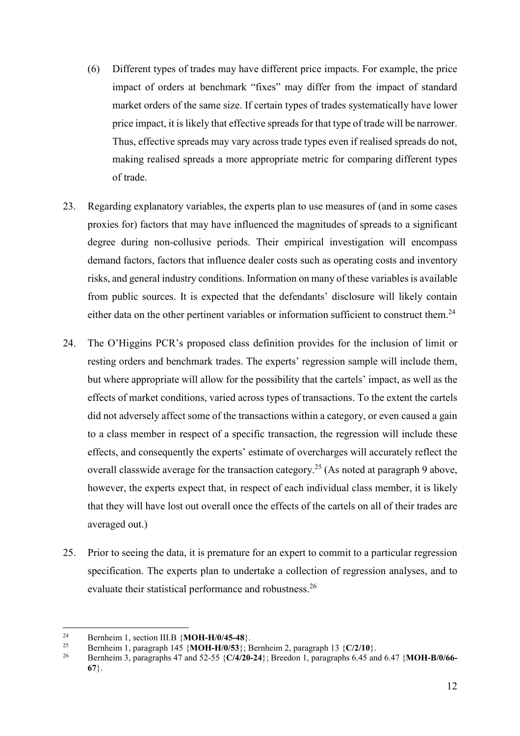- (6) Different types of trades may have different price impacts. For example, the price impact of orders at benchmark "fixes" may differ from the impact of standard market orders of the same size. If certain types of trades systematically have lower price impact, it is likely that effective spreads for that type of trade will be narrower. Thus, effective spreads may vary across trade types even if realised spreads do not, making realised spreads a more appropriate metric for comparing different types of trade.
- 23. Regarding explanatory variables, the experts plan to use measures of (and in some cases proxies for) factors that may have influenced the magnitudes of spreads to a significant degree during non-collusive periods. Their empirical investigation will encompass demand factors, factors that influence dealer costs such as operating costs and inventory risks, and general industry conditions. Information on many of these variables is available from public sources. It is expected that the defendants' disclosure will likely contain either data on the other pertinent variables or information sufficient to construct them.<sup>24</sup>
- 24. The O'Higgins PCR's proposed class definition provides for the inclusion of limit or resting orders and benchmark trades. The experts' regression sample will include them, but where appropriate will allow for the possibility that the cartels' impact, as well as the effects of market conditions, varied across types of transactions. To the extent the cartels did not adversely affect some of the transactions within a category, or even caused a gain to a class member in respect of a specific transaction, the regression will include these effects, and consequently the experts' estimate of overcharges will accurately reflect the overall classwide average for the transaction category.<sup>25</sup> (As noted at paragraph 9 above, however, the experts expect that, in respect of each individual class member, it is likely that they will have lost out overall once the effects of the cartels on all of their trades are averaged out.)
- 25. Prior to seeing the data, it is premature for an expert to commit to a particular regression specification. The experts plan to undertake a collection of regression analyses, and to evaluate their statistical performance and robustness.<sup>26</sup>

 $24$ <sup>24</sup> Bernheim 1, section III.B {**MOH-H/0/45-48**}.

<sup>&</sup>lt;sup>25</sup> Bernheim 1, paragraph 145 {**MOH-H/0/53**}; Bernheim 2, paragraph 13 {**C/2/10**}.<br><sup>26</sup> Bernheim 3, paragraphs 47 and 52.55 (C/4/20.24): Breedon 1, paragraphs 6.45 and

<sup>26</sup> Bernheim 3, paragraphs 47 and 52-55 {**C/4/20-24**}; Breedon 1, paragraphs 6.45 and 6.47 {**MOH-B/0/66- 67**}.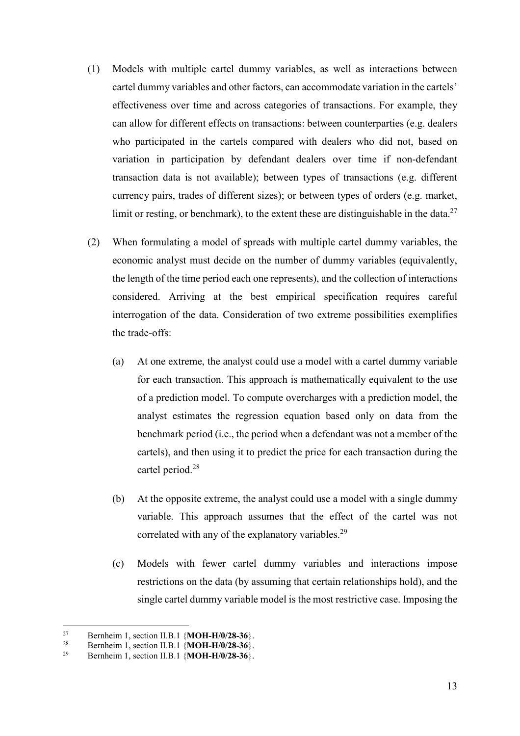- (1) Models with multiple cartel dummy variables, as well as interactions between cartel dummy variables and other factors, can accommodate variation in the cartels' effectiveness over time and across categories of transactions. For example, they can allow for different effects on transactions: between counterparties (e.g. dealers who participated in the cartels compared with dealers who did not, based on variation in participation by defendant dealers over time if non-defendant transaction data is not available); between types of transactions (e.g. different currency pairs, trades of different sizes); or between types of orders (e.g. market, limit or resting, or benchmark), to the extent these are distinguishable in the data.<sup>27</sup>
- (2) When formulating a model of spreads with multiple cartel dummy variables, the economic analyst must decide on the number of dummy variables (equivalently, the length of the time period each one represents), and the collection of interactions considered. Arriving at the best empirical specification requires careful interrogation of the data. Consideration of two extreme possibilities exemplifies the trade-offs:
	- (a) At one extreme, the analyst could use a model with a cartel dummy variable for each transaction. This approach is mathematically equivalent to the use of a prediction model. To compute overcharges with a prediction model, the analyst estimates the regression equation based only on data from the benchmark period (i.e., the period when a defendant was not a member of the cartels), and then using it to predict the price for each transaction during the cartel period.<sup>28</sup>
	- (b) At the opposite extreme, the analyst could use a model with a single dummy variable. This approach assumes that the effect of the cartel was not correlated with any of the explanatory variables.<sup>29</sup>
	- (c) Models with fewer cartel dummy variables and interactions impose restrictions on the data (by assuming that certain relationships hold), and the single cartel dummy variable model is the most restrictive case. Imposing the

<sup>&</sup>lt;sup>27</sup> Bernheim 1, section II.B.1 {**MOH-H/0/28-36**}.<br><sup>28</sup> Dambains 1, section II.B.1 (**MOH-H/0/28-36**).

<sup>&</sup>lt;sup>28</sup> Bernheim 1, section II.B.1 {**MOH-H/0/28-36**}.

<sup>29</sup> Bernheim 1, section II.B.1 {**MOH-H/0/28-36**}.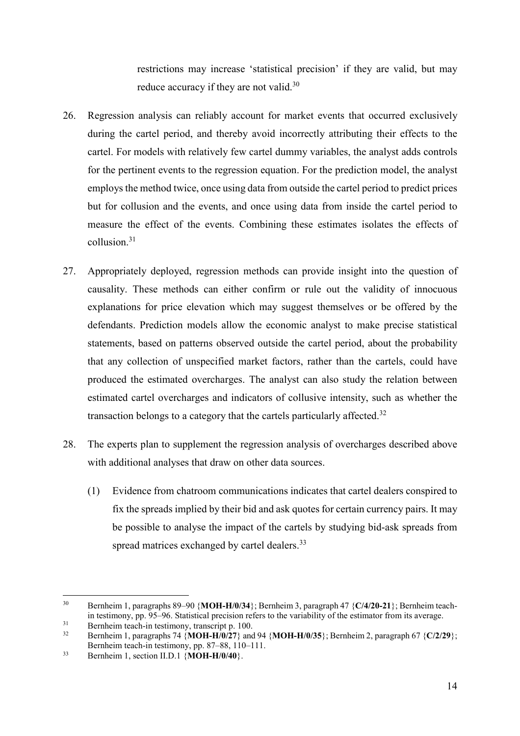restrictions may increase 'statistical precision' if they are valid, but may reduce accuracy if they are not valid.<sup>30</sup>

- 26. Regression analysis can reliably account for market events that occurred exclusively during the cartel period, and thereby avoid incorrectly attributing their effects to the cartel. For models with relatively few cartel dummy variables, the analyst adds controls for the pertinent events to the regression equation. For the prediction model, the analyst employs the method twice, once using data from outside the cartel period to predict prices but for collusion and the events, and once using data from inside the cartel period to measure the effect of the events. Combining these estimates isolates the effects of collusion.31
- 27. Appropriately deployed, regression methods can provide insight into the question of causality. These methods can either confirm or rule out the validity of innocuous explanations for price elevation which may suggest themselves or be offered by the defendants. Prediction models allow the economic analyst to make precise statistical statements, based on patterns observed outside the cartel period, about the probability that any collection of unspecified market factors, rather than the cartels, could have produced the estimated overcharges. The analyst can also study the relation between estimated cartel overcharges and indicators of collusive intensity, such as whether the transaction belongs to a category that the cartels particularly affected.<sup>32</sup>
- 28. The experts plan to supplement the regression analysis of overcharges described above with additional analyses that draw on other data sources.
	- (1) Evidence from chatroom communications indicates that cartel dealers conspired to fix the spreads implied by their bid and ask quotes for certain currency pairs. It may be possible to analyse the impact of the cartels by studying bid-ask spreads from spread matrices exchanged by cartel dealers.<sup>33</sup>

<sup>30</sup> Bernheim 1, paragraphs 89–90 {**MOH-H/0/34**}; Bernheim 3, paragraph 47 {**C/4/20-21**}; Bernheim teachin testimony, pp. 95–96. Statistical precision refers to the variability of the estimator from its average.

 $31$  Bernheim teach-in testimony, transcript p. 100.<br> $32$  Bernheim 1 generates 74 (MOU H/0/27) and

<sup>32</sup> Bernheim 1, paragraphs 74 {**MOH-H/0/27**} and 94 {**MOH-H/0/35**}; Bernheim 2, paragraph 67 {**C/2/29**}; Bernheim teach-in testimony, pp. 87–88, 110–111.

<sup>33</sup> Bernheim 1, section II.D.1 {**MOH-H/0/40**}.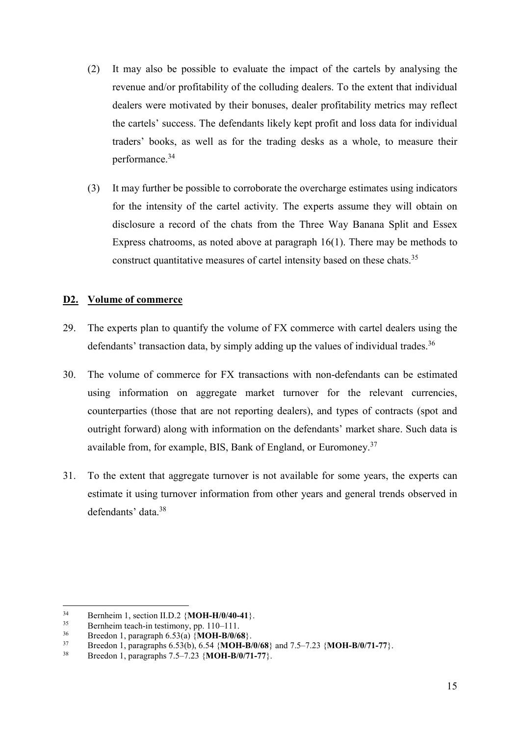- (2) It may also be possible to evaluate the impact of the cartels by analysing the revenue and/or profitability of the colluding dealers. To the extent that individual dealers were motivated by their bonuses, dealer profitability metrics may reflect the cartels' success. The defendants likely kept profit and loss data for individual traders' books, as well as for the trading desks as a whole, to measure their performance.<sup>34</sup>
- (3) It may further be possible to corroborate the overcharge estimates using indicators for the intensity of the cartel activity. The experts assume they will obtain on disclosure a record of the chats from the Three Way Banana Split and Essex Express chatrooms, as noted above at paragraph 16(1). There may be methods to construct quantitative measures of cartel intensity based on these chats.<sup>35</sup>

## **D2. Volume of commerce**

- 29. The experts plan to quantify the volume of FX commerce with cartel dealers using the defendants' transaction data, by simply adding up the values of individual trades.<sup>36</sup>
- 30. The volume of commerce for FX transactions with non-defendants can be estimated using information on aggregate market turnover for the relevant currencies, counterparties (those that are not reporting dealers), and types of contracts (spot and outright forward) along with information on the defendants' market share. Such data is available from, for example, BIS, Bank of England, or Euromoney.<sup>37</sup>
- 31. To the extent that aggregate turnover is not available for some years, the experts can estimate it using turnover information from other years and general trends observed in defendants' data.<sup>38</sup>

<sup>&</sup>lt;sup>34</sup> Bernheim 1, section II.D.2  $\{MOH-H/0/40-41\}$ .<br><sup>35</sup> Bernheim toosh in testimony, nn <sup>110</sup> <sup>111</sup>

<sup>&</sup>lt;sup>35</sup> Bernheim teach-in testimony, pp. 110–111.<br><sup>36</sup> Broaden Lagrange 6.52(c) MOU B/0/6

<sup>36</sup> Breedon 1, paragraph 6.53(a) {**MOH-B/0/68**}.

<sup>37</sup> Breedon 1, paragraphs 6.53(b), 6.54 {**MOH-B/0/68**} and 7.5–7.23 {**MOH-B/0/71-77**}.

<sup>38</sup> Breedon 1, paragraphs 7.5–7.23 {**MOH-B/0/71-77**}.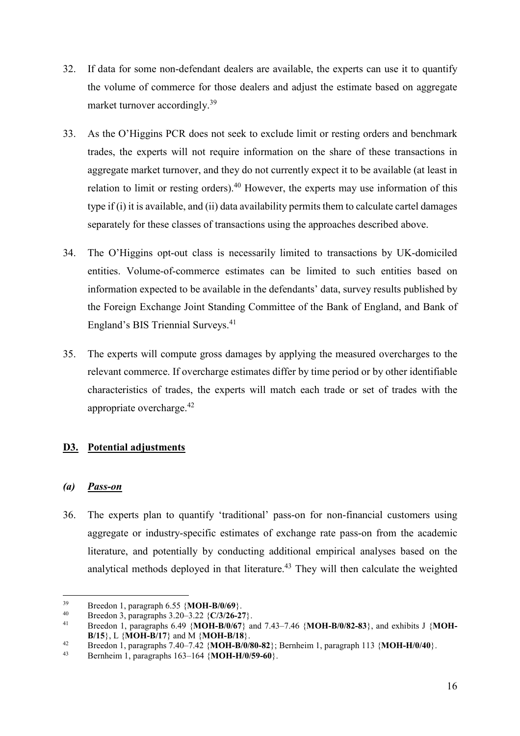- 32. If data for some non-defendant dealers are available, the experts can use it to quantify the volume of commerce for those dealers and adjust the estimate based on aggregate market turnover accordingly.<sup>39</sup>
- 33. As the O'Higgins PCR does not seek to exclude limit or resting orders and benchmark trades, the experts will not require information on the share of these transactions in aggregate market turnover, and they do not currently expect it to be available (at least in relation to limit or resting orders).<sup>40</sup> However, the experts may use information of this type if (i) it is available, and (ii) data availability permits them to calculate cartel damages separately for these classes of transactions using the approaches described above.
- 34. The O'Higgins opt-out class is necessarily limited to transactions by UK-domiciled entities. Volume-of-commerce estimates can be limited to such entities based on information expected to be available in the defendants' data, survey results published by the Foreign Exchange Joint Standing Committee of the Bank of England, and Bank of England's BIS Triennial Surveys.<sup>41</sup>
- 35. The experts will compute gross damages by applying the measured overcharges to the relevant commerce. If overcharge estimates differ by time period or by other identifiable characteristics of trades, the experts will match each trade or set of trades with the appropriate overcharge.42

## **D3. Potential adjustments**

## *(a) Pass-on*

 $\overline{a}$ 

36. The experts plan to quantify 'traditional' pass-on for non-financial customers using aggregate or industry-specific estimates of exchange rate pass-on from the academic literature, and potentially by conducting additional empirical analyses based on the analytical methods deployed in that literature.<sup>43</sup> They will then calculate the weighted

<sup>39</sup> Breedon 1, paragraph 6.55 {**MOH-B/0/69**}.

<sup>40</sup> Breedon 3, paragraphs 3.20–3.22 {**C/3/26-27**}. 41 Breedon 1, paragraphs 6.49 {**MOH-B/0/67**} and 7.43–7.46 {**MOH-B/0/82-83**}, and exhibits J {**MOH-**

**B/15**}, L {**MOH-B/17**} and M {**MOH-B/18**}.<br><sup>42</sup> Breedon 1, paragraphs 7.40–7.42 {**MOH-B/0/80-82**}; Bernheim 1, paragraph 113 {**MOH-H/0/40**}.

<sup>43</sup> Bernheim 1, paragraphs 163–164 {**MOH-H/0/59-60**}.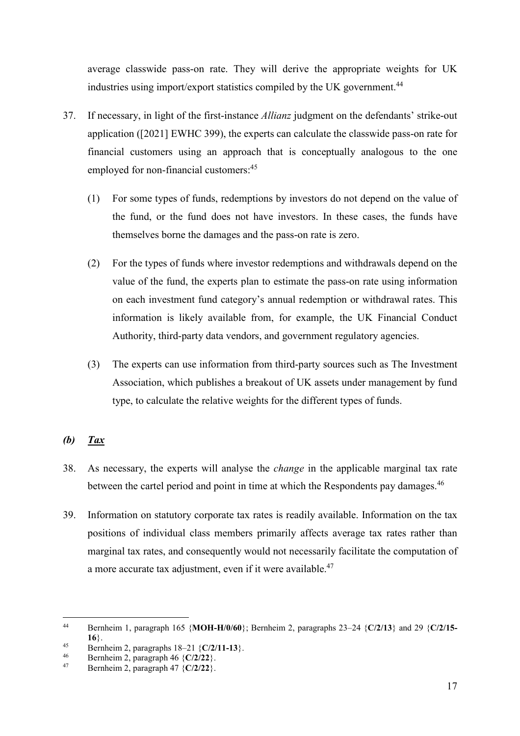average classwide pass-on rate. They will derive the appropriate weights for UK industries using import/export statistics compiled by the UK government.<sup>44</sup>

- 37. If necessary, in light of the first-instance *Allianz* judgment on the defendants' strike-out application ([2021] EWHC 399), the experts can calculate the classwide pass-on rate for financial customers using an approach that is conceptually analogous to the one employed for non-financial customers:<sup>45</sup>
	- (1) For some types of funds, redemptions by investors do not depend on the value of the fund, or the fund does not have investors. In these cases, the funds have themselves borne the damages and the pass-on rate is zero.
	- (2) For the types of funds where investor redemptions and withdrawals depend on the value of the fund, the experts plan to estimate the pass-on rate using information on each investment fund category's annual redemption or withdrawal rates. This information is likely available from, for example, the UK Financial Conduct Authority, third-party data vendors, and government regulatory agencies.
	- (3) The experts can use information from third-party sources such as The Investment Association, which publishes a breakout of UK assets under management by fund type, to calculate the relative weights for the different types of funds.

# *(b) Tax*

- 38. As necessary, the experts will analyse the *change* in the applicable marginal tax rate between the cartel period and point in time at which the Respondents pay damages.<sup>46</sup>
- 39. Information on statutory corporate tax rates is readily available. Information on the tax positions of individual class members primarily affects average tax rates rather than marginal tax rates, and consequently would not necessarily facilitate the computation of a more accurate tax adjustment, even if it were available.<sup>47</sup>

 $\overline{a}$ 44 Bernheim 1, paragraph 165 {**MOH-H/0/60**}; Bernheim 2, paragraphs 23–24 {**C/2/13**} and 29 {**C/2/15- 16**}.

<sup>45</sup> Bernheim 2, paragraphs  $18-21$  {**C/2/11-13**}.<br>46 Bernheim 2, paragraph  $46$  {**C/2/22**}

<sup>46</sup> Bernheim 2, paragraph 46 {**C/2/22**}.

<sup>47</sup> Bernheim 2, paragraph 47 {**C/2/22**}.